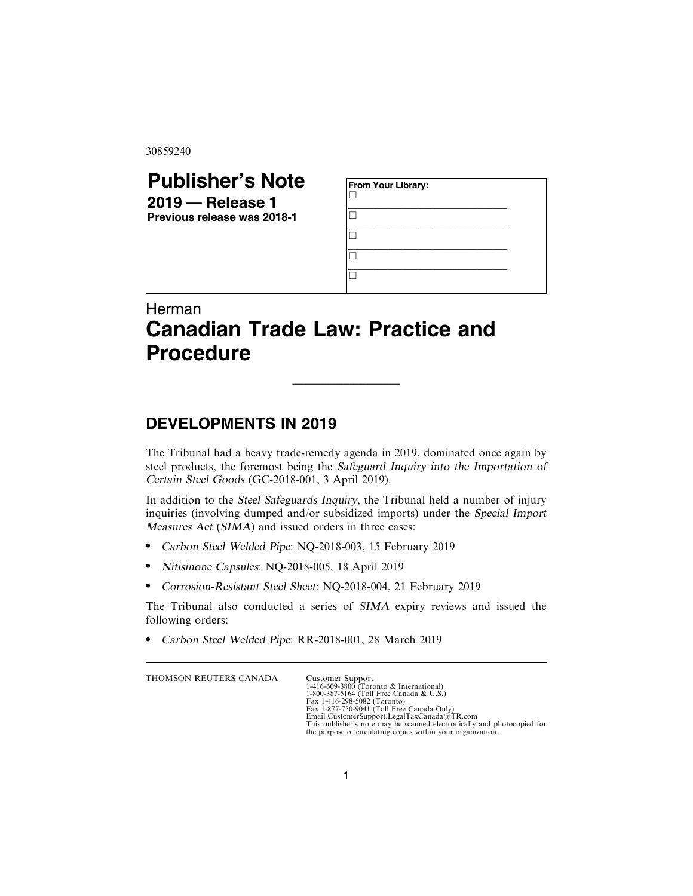30859240

## **Publisher's Note 2019 — Release 1 Previous release was 2018-1**

| From Your Library: |  |  |
|--------------------|--|--|
|                    |  |  |
|                    |  |  |
|                    |  |  |
|                    |  |  |

## Herman **Canadian Trade Law: Practice and Procedure**

## **DEVELOPMENTS IN 2019**

The Tribunal had a heavy trade-remedy agenda in 2019, dominated once again by steel products, the foremost being the Safeguard Inquiry into the Importation of Certain Steel Goods (GC-2018-001, 3 April 2019).

\_\_\_\_\_\_\_\_\_\_\_\_\_\_\_\_\_\_\_

In addition to the Steel Safeguards Inquiry, the Tribunal held a number of injury inquiries (involving dumped and/or subsidized imports) under the Special Import Measures Act (SIMA) and issued orders in three cases:

- . Carbon Steel Welded Pipe: NQ-2018-003, 15 February 2019
- . Nitisinone Capsules: NQ-2018-005, 18 April 2019
- . Corrosion-Resistant Steel Sheet: NQ-2018-004, 21 February 2019

The Tribunal also conducted a series of SIMA expiry reviews and issued the following orders:

. Carbon Steel Welded Pipe: RR-2018-001, 28 March 2019

THOMSON REUTERS CANADA Customer Support

1-416-609-3800 (Toronto & International) 1-800-387-5164 (Toll Free Canada & U.S.) Fax 1-416-298-5082 (Toronto)<br>Fax 1-877-750-9041 (Toll Free Canada Only)<br>Email CustomerSupport.LegalTaxCanada@TR.com<br>This publisher's note may be scanned electronically and photocopied for<br>the purpose of circulating copies